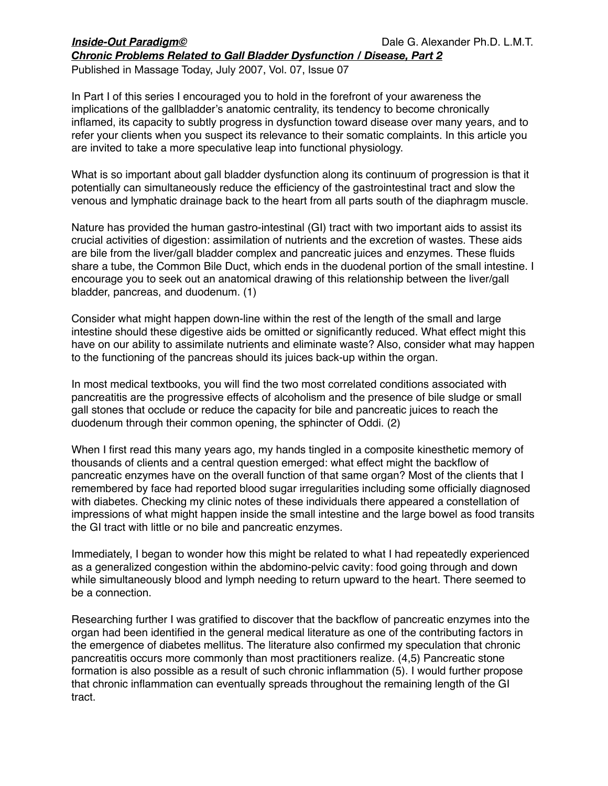Published in Massage Today, July 2007, Vol. 07, Issue 07

In Part I of this series I encouraged you to hold in the forefront of your awareness the implications of the gallbladder's anatomic centrality, its tendency to become chronically inflamed, its capacity to subtly progress in dysfunction toward disease over many years, and to refer your clients when you suspect its relevance to their somatic complaints. In this article you are invited to take a more speculative leap into functional physiology.

What is so important about gall bladder dysfunction along its continuum of progression is that it potentially can simultaneously reduce the efficiency of the gastrointestinal tract and slow the venous and lymphatic drainage back to the heart from all parts south of the diaphragm muscle.

Nature has provided the human gastro-intestinal (GI) tract with two important aids to assist its crucial activities of digestion: assimilation of nutrients and the excretion of wastes. These aids are bile from the liver/gall bladder complex and pancreatic juices and enzymes. These fluids share a tube, the Common Bile Duct, which ends in the duodenal portion of the small intestine. I encourage you to seek out an anatomical drawing of this relationship between the liver/gall bladder, pancreas, and duodenum. (1)

Consider what might happen down-line within the rest of the length of the small and large intestine should these digestive aids be omitted or significantly reduced. What effect might this have on our ability to assimilate nutrients and eliminate waste? Also, consider what may happen to the functioning of the pancreas should its juices back-up within the organ.

In most medical textbooks, you will find the two most correlated conditions associated with pancreatitis are the progressive effects of alcoholism and the presence of bile sludge or small gall stones that occlude or reduce the capacity for bile and pancreatic juices to reach the duodenum through their common opening, the sphincter of Oddi. (2)

When I first read this many years ago, my hands tingled in a composite kinesthetic memory of thousands of clients and a central question emerged: what effect might the backflow of pancreatic enzymes have on the overall function of that same organ? Most of the clients that I remembered by face had reported blood sugar irregularities including some officially diagnosed with diabetes. Checking my clinic notes of these individuals there appeared a constellation of impressions of what might happen inside the small intestine and the large bowel as food transits the GI tract with little or no bile and pancreatic enzymes.

Immediately, I began to wonder how this might be related to what I had repeatedly experienced as a generalized congestion within the abdomino-pelvic cavity: food going through and down while simultaneously blood and lymph needing to return upward to the heart. There seemed to be a connection.

Researching further I was gratified to discover that the backflow of pancreatic enzymes into the organ had been identified in the general medical literature as one of the contributing factors in the emergence of diabetes mellitus. The literature also confirmed my speculation that chronic pancreatitis occurs more commonly than most practitioners realize. (4,5) Pancreatic stone formation is also possible as a result of such chronic inflammation (5). I would further propose that chronic inflammation can eventually spreads throughout the remaining length of the GI tract.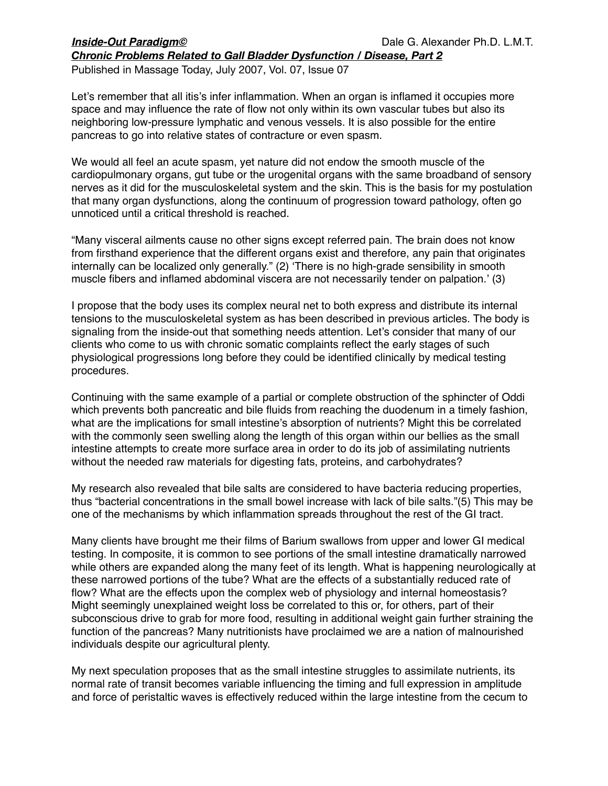Published in Massage Today, July 2007, Vol. 07, Issue 07

Let's remember that all itis's infer inflammation. When an organ is inflamed it occupies more space and may influence the rate of flow not only within its own vascular tubes but also its neighboring low-pressure lymphatic and venous vessels. It is also possible for the entire pancreas to go into relative states of contracture or even spasm.

We would all feel an acute spasm, yet nature did not endow the smooth muscle of the cardiopulmonary organs, gut tube or the urogenital organs with the same broadband of sensory nerves as it did for the musculoskeletal system and the skin. This is the basis for my postulation that many organ dysfunctions, along the continuum of progression toward pathology, often go unnoticed until a critical threshold is reached.

"Many visceral ailments cause no other signs except referred pain. The brain does not know from firsthand experience that the different organs exist and therefore, any pain that originates internally can be localized only generally." (2) ʻThere is no high-grade sensibility in smooth muscle fibers and inflamed abdominal viscera are not necessarily tender on palpation.' (3)

I propose that the body uses its complex neural net to both express and distribute its internal tensions to the musculoskeletal system as has been described in previous articles. The body is signaling from the inside-out that something needs attention. Let's consider that many of our clients who come to us with chronic somatic complaints reflect the early stages of such physiological progressions long before they could be identified clinically by medical testing procedures.

Continuing with the same example of a partial or complete obstruction of the sphincter of Oddi which prevents both pancreatic and bile fluids from reaching the duodenum in a timely fashion, what are the implications for small intestine's absorption of nutrients? Might this be correlated with the commonly seen swelling along the length of this organ within our bellies as the small intestine attempts to create more surface area in order to do its job of assimilating nutrients without the needed raw materials for digesting fats, proteins, and carbohydrates?

My research also revealed that bile salts are considered to have bacteria reducing properties, thus "bacterial concentrations in the small bowel increase with lack of bile salts."(5) This may be one of the mechanisms by which inflammation spreads throughout the rest of the GI tract.

Many clients have brought me their films of Barium swallows from upper and lower GI medical testing. In composite, it is common to see portions of the small intestine dramatically narrowed while others are expanded along the many feet of its length. What is happening neurologically at these narrowed portions of the tube? What are the effects of a substantially reduced rate of flow? What are the effects upon the complex web of physiology and internal homeostasis? Might seemingly unexplained weight loss be correlated to this or, for others, part of their subconscious drive to grab for more food, resulting in additional weight gain further straining the function of the pancreas? Many nutritionists have proclaimed we are a nation of malnourished individuals despite our agricultural plenty.

My next speculation proposes that as the small intestine struggles to assimilate nutrients, its normal rate of transit becomes variable influencing the timing and full expression in amplitude and force of peristaltic waves is effectively reduced within the large intestine from the cecum to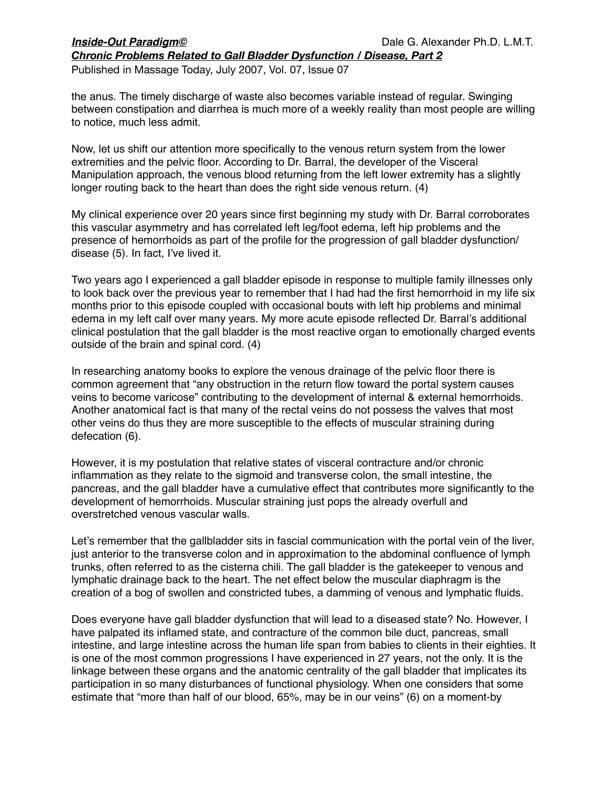Published in Massage Today, July 2007, Vol. 07, Issue 07

the anus. The timely discharge of waste also becomes variable instead of regular. Swinging between constipation and diarrhea is much more of a weekly reality than most people are willing to notice, much less admit.

Now, let us shift our attention more specifically to the venous return system from the lower extremities and the pelvic floor. According to Dr. Barral, the developer of the Visceral Manipulation approach, the venous blood returning from the left lower extremity has a slightly longer routing back to the heart than does the right side venous return. (4)

My clinical experience over 20 years since first beginning my study with Dr. Barral corroborates this vascular asymmetry and has correlated left leg/foot edema, left hip problems and the presence of hemorrhoids as part of the profile for the progression of gall bladder dysfunction/ disease (5). In fact, I've lived it.

Two years ago I experienced a gall bladder episode in response to multiple family illnesses only to look back over the previous year to remember that I had had the first hemorrhoid in my life six months prior to this episode coupled with occasional bouts with left hip problems and minimal edema in my left calf over many years. My more acute episode reflected Dr. Barral's additional clinical postulation that the gall bladder is the most reactive organ to emotionally charged events outside of the brain and spinal cord. (4)

In researching anatomy books to explore the venous drainage of the pelvic floor there is common agreement that "any obstruction in the return flow toward the portal system causes veins to become varicose" contributing to the development of internal & external hemorrhoids. Another anatomical fact is that many of the rectal veins do not possess the valves that most other veins do thus they are more susceptible to the effects of muscular straining during defecation (6).

However, it is my postulation that relative states of visceral contracture and/or chronic inflammation as they relate to the sigmoid and transverse colon, the small intestine, the pancreas, and the gall bladder have a cumulative effect that contributes more significantly to the development of hemorrhoids. Muscular straining just pops the already overfull and overstretched venous vascular walls.

Let's remember that the gallbladder sits in fascial communication with the portal vein of the liver, just anterior to the transverse colon and in approximation to the abdominal confluence of lymph trunks, often referred to as the cisterna chili. The gall bladder is the gatekeeper to venous and lymphatic drainage back to the heart. The net effect below the muscular diaphragm is the creation of a bog of swollen and constricted tubes, a damming of venous and lymphatic fluids.

Does everyone have gall bladder dysfunction that will lead to a diseased state? No. However, I have palpated its inflamed state, and contracture of the common bile duct, pancreas, small intestine, and large intestine across the human life span from babies to clients in their eighties. It is one of the most common progressions I have experienced in 27 years, not the only. It is the linkage between these organs and the anatomic centrality of the gall bladder that implicates its participation in so many disturbances of functional physiology. When one considers that some estimate that "more than half of our blood, 65%, may be in our veins" (6) on a moment-by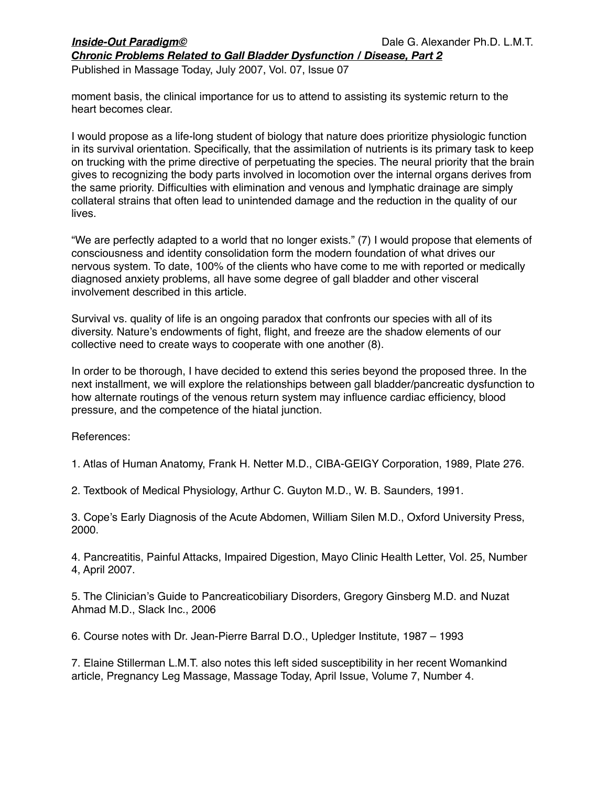Published in Massage Today, July 2007, Vol. 07, Issue 07

moment basis, the clinical importance for us to attend to assisting its systemic return to the heart becomes clear.

I would propose as a life-long student of biology that nature does prioritize physiologic function in its survival orientation. Specifically, that the assimilation of nutrients is its primary task to keep on trucking with the prime directive of perpetuating the species. The neural priority that the brain gives to recognizing the body parts involved in locomotion over the internal organs derives from the same priority. Difficulties with elimination and venous and lymphatic drainage are simply collateral strains that often lead to unintended damage and the reduction in the quality of our lives.

"We are perfectly adapted to a world that no longer exists." (7) I would propose that elements of consciousness and identity consolidation form the modern foundation of what drives our nervous system. To date, 100% of the clients who have come to me with reported or medically diagnosed anxiety problems, all have some degree of gall bladder and other visceral involvement described in this article.

Survival vs. quality of life is an ongoing paradox that confronts our species with all of its diversity. Nature's endowments of fight, flight, and freeze are the shadow elements of our collective need to create ways to cooperate with one another (8).

In order to be thorough, I have decided to extend this series beyond the proposed three. In the next installment, we will explore the relationships between gall bladder/pancreatic dysfunction to how alternate routings of the venous return system may influence cardiac efficiency, blood pressure, and the competence of the hiatal junction.

References:

1. Atlas of Human Anatomy, Frank H. Netter M.D., CIBA-GEIGY Corporation, 1989, Plate 276.

2. Textbook of Medical Physiology, Arthur C. Guyton M.D., W. B. Saunders, 1991.

3. Cope's Early Diagnosis of the Acute Abdomen, William Silen M.D., Oxford University Press, 2000.

4. Pancreatitis, Painful Attacks, Impaired Digestion, Mayo Clinic Health Letter, Vol. 25, Number 4, April 2007.

5. The Clinician's Guide to Pancreaticobiliary Disorders, Gregory Ginsberg M.D. and Nuzat Ahmad M.D., Slack Inc., 2006

6. Course notes with Dr. Jean-Pierre Barral D.O., Upledger Institute, 1987 – 1993

7. Elaine Stillerman L.M.T. also notes this left sided susceptibility in her recent Womankind article, Pregnancy Leg Massage, Massage Today, April Issue, Volume 7, Number 4.